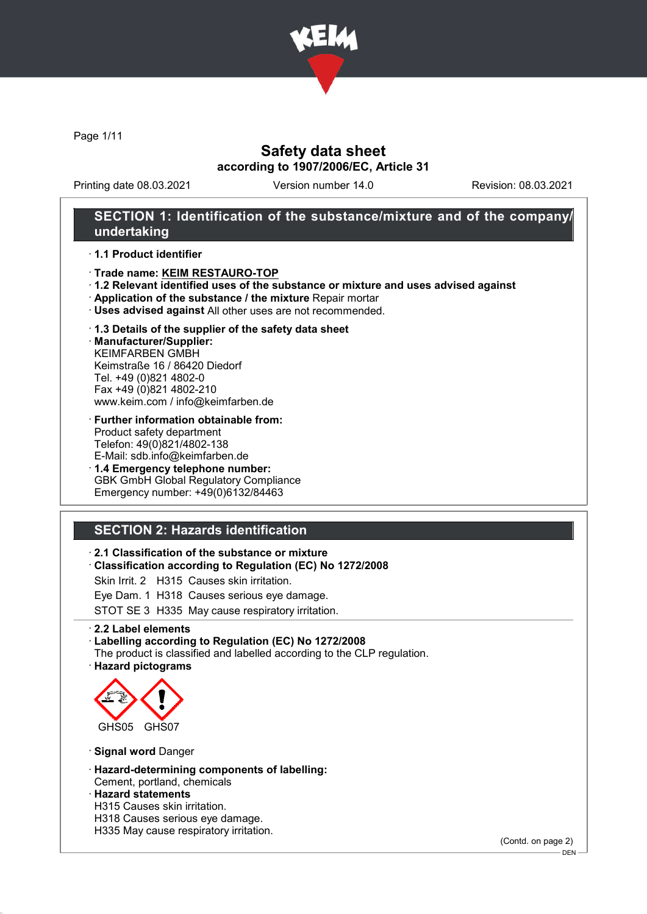

Page 1/11

### Safety data sheet according to 1907/2006/EC, Article 31

Printing date 08.03.2021 Version number 14.0 Revision: 08.03.2021

### SECTION 1: Identification of the substance/mixture and of the company/ undertaking

### · 1.1 Product identifier

- · Trade name: KEIM RESTAURO-TOP
- · 1.2 Relevant identified uses of the substance or mixture and uses advised against
- · Application of the substance / the mixture Repair mortar
- · Uses advised against All other uses are not recommended.

#### · 1.3 Details of the supplier of the safety data sheet

· Manufacturer/Supplier: KEIMFARBEN GMBH Keimstraße 16 / 86420 Diedorf Tel. +49 (0)821 4802-0 Fax +49 (0)821 4802-210 www.keim.com / info@keimfarben.de

- · Further information obtainable from: Product safety department Telefon: 49(0)821/4802-138 E-Mail: sdb.info@keimfarben.de
- · 1.4 Emergency telephone number: GBK GmbH Global Regulatory Compliance Emergency number: +49(0)6132/84463

# SECTION 2: Hazards identification

### · 2.1 Classification of the substance or mixture

· Classification according to Regulation (EC) No 1272/2008

Skin Irrit. 2 H315 Causes skin irritation.

Eye Dam. 1 H318 Causes serious eye damage.

STOT SE 3 H335 May cause respiratory irritation.

· 2.2 Label elements

#### · Labelling according to Regulation (EC) No 1272/2008

The product is classified and labelled according to the CLP regulation. · Hazard pictograms



· Signal word Danger

- · Hazard-determining components of labelling:
- Cement, portland, chemicals · Hazard statements
- H315 Causes skin irritation.
- H318 Causes serious eye damage.
- H335 May cause respiratory irritation.

(Contd. on page 2)

DEN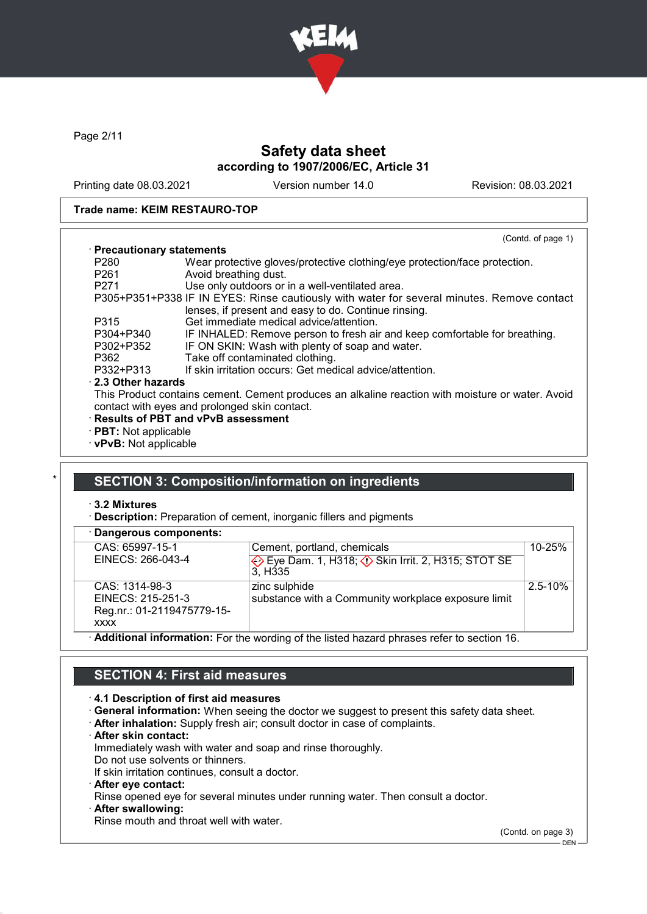

Page 2/11

# Safety data sheet according to 1907/2006/EC, Article 31

Printing date 08.03.2021 Version number 14.0 Revision: 08.03.2021

### Trade name: KEIM RESTAURO-TOP

|                             | (Contd. of page 1)                                                                               |
|-----------------------------|--------------------------------------------------------------------------------------------------|
| · Precautionary statements  |                                                                                                  |
| P <sub>280</sub>            | Wear protective gloves/protective clothing/eye protection/face protection.                       |
| P <sub>261</sub>            | Avoid breathing dust.                                                                            |
| P <sub>271</sub>            | Use only outdoors or in a well-ventilated area.                                                  |
|                             | P305+P351+P338 IF IN EYES: Rinse cautiously with water for several minutes. Remove contact       |
|                             | lenses, if present and easy to do. Continue rinsing.                                             |
| P315                        | Get immediate medical advice/attention.                                                          |
| P304+P340                   | IF INHALED: Remove person to fresh air and keep comfortable for breathing.                       |
| P302+P352                   | IF ON SKIN: Wash with plenty of soap and water.                                                  |
| P362                        | Take off contaminated clothing.                                                                  |
| P332+P313                   | If skin irritation occurs: Get medical advice/attention.                                         |
| 2.3 Other hazards           |                                                                                                  |
|                             | This Product contains cement. Cement produces an alkaline reaction with moisture or water. Avoid |
|                             | contact with eyes and prolonged skin contact.                                                    |
|                             | · Results of PBT and vPvB assessment                                                             |
| $\cdot$ PBT: Not applicable |                                                                                                  |
| · vPvB: Not applicable      |                                                                                                  |

### SECTION 3: Composition/information on ingredients

· 3.2 Mixtures

· Description: Preparation of cement, inorganic fillers and pigments

| · Dangerous components:    |                                                                                                  |             |
|----------------------------|--------------------------------------------------------------------------------------------------|-------------|
| CAS: 65997-15-1            | Cement, portland, chemicals                                                                      | $10 - 25%$  |
| EINECS: 266-043-4          | Eye Dam. 1, H318; $\Diamond$ Skin Irrit. 2, H315; STOT SE<br>3. H <sub>335</sub>                 |             |
| CAS: 1314-98-3             | zinc sulphide                                                                                    | $2.5 - 10%$ |
| EINECS: 215-251-3          | substance with a Community workplace exposure limit                                              |             |
| Reg.nr.: 01-2119475779-15- |                                                                                                  |             |
| <b>XXXX</b>                |                                                                                                  |             |
|                            | $\cdot$ Additional information: For the wording of the listed hazard phrases refer to section 16 |             |

· Additional information: For the wording of the listed hazard phrases refer to section 16.

# SECTION 4: First aid measures

### · 4.1 Description of first aid measures

- · General information: When seeing the doctor we suggest to present this safety data sheet.
- · After inhalation: Supply fresh air; consult doctor in case of complaints.
- · After skin contact:

Immediately wash with water and soap and rinse thoroughly.

Do not use solvents or thinners. If skin irritation continues, consult a doctor.

- 
- · After eye contact:

Rinse opened eye for several minutes under running water. Then consult a doctor.

After swallowing:

Rinse mouth and throat well with water.

(Contd. on page 3)

DEN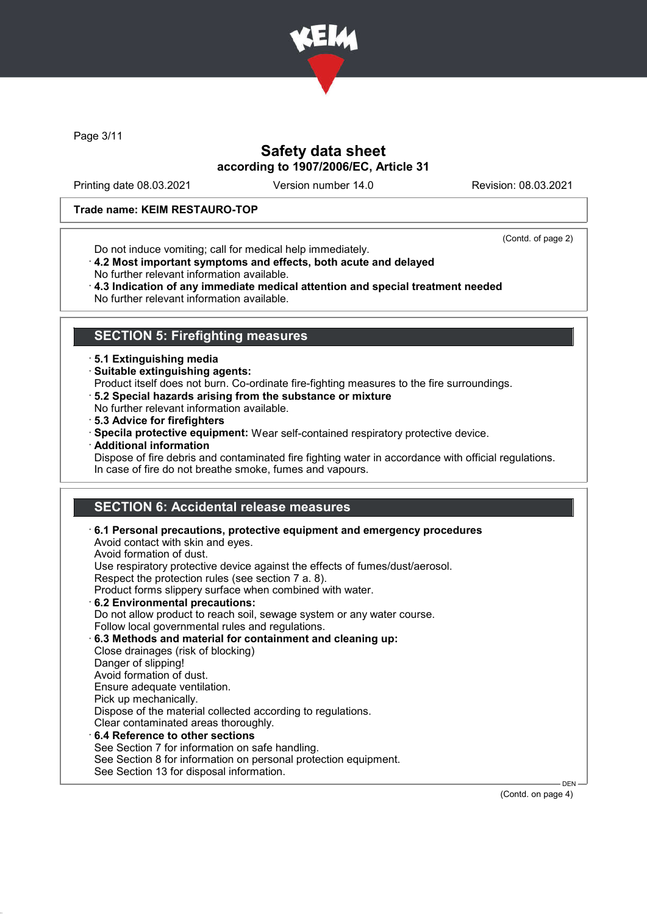

Page 3/11

### Safety data sheet according to 1907/2006/EC, Article 31

Printing date 08.03.2021 Version number 14.0 Revision: 08.03.2021

### Trade name: KEIM RESTAURO-TOP

Do not induce vomiting; call for medical help immediately.

(Contd. of page 2)

- · 4.2 Most important symptoms and effects, both acute and delayed
- No further relevant information available.
- · 4.3 Indication of any immediate medical attention and special treatment needed No further relevant information available.

### SECTION 5: Firefighting measures

- · 5.1 Extinguishing media
- · Suitable extinguishing agents:
- Product itself does not burn. Co-ordinate fire-fighting measures to the fire surroundings.
- · 5.2 Special hazards arising from the substance or mixture
- No further relevant information available.
- · 5.3 Advice for firefighters
- · Specila protective equipment: Wear self-contained respiratory protective device.
- · Additional information
- Dispose of fire debris and contaminated fire fighting water in accordance with official regulations. In case of fire do not breathe smoke, fumes and vapours.

# SECTION 6: Accidental release measures

| $\cdot$ 6.1 Personal precautions, protective equipment and emergency procedures<br>Avoid contact with skin and eyes.<br>Avoid formation of dust. |
|--------------------------------------------------------------------------------------------------------------------------------------------------|
| Use respiratory protective device against the effects of fumes/dust/aerosol.                                                                     |
| Respect the protection rules (see section 7 a. 8).                                                                                               |
| Product forms slippery surface when combined with water.                                                                                         |
| 6.2 Environmental precautions:                                                                                                                   |
| Do not allow product to reach soil, sewage system or any water course.                                                                           |
| Follow local governmental rules and regulations.                                                                                                 |
| 6.3 Methods and material for containment and cleaning up:                                                                                        |
| Close drainages (risk of blocking)                                                                                                               |
| Danger of slipping!                                                                                                                              |
| Avoid formation of dust.                                                                                                                         |
| Ensure adequate ventilation.                                                                                                                     |
| Pick up mechanically.                                                                                                                            |
| Dispose of the material collected according to regulations.                                                                                      |
| Clear contaminated areas thoroughly.                                                                                                             |
| 6.4 Reference to other sections                                                                                                                  |
| See Section 7 for information on safe handling.                                                                                                  |
| See Section 8 for information on personal protection equipment.                                                                                  |
| See Section 13 for disposal information.                                                                                                         |

(Contd. on page 4)

DEN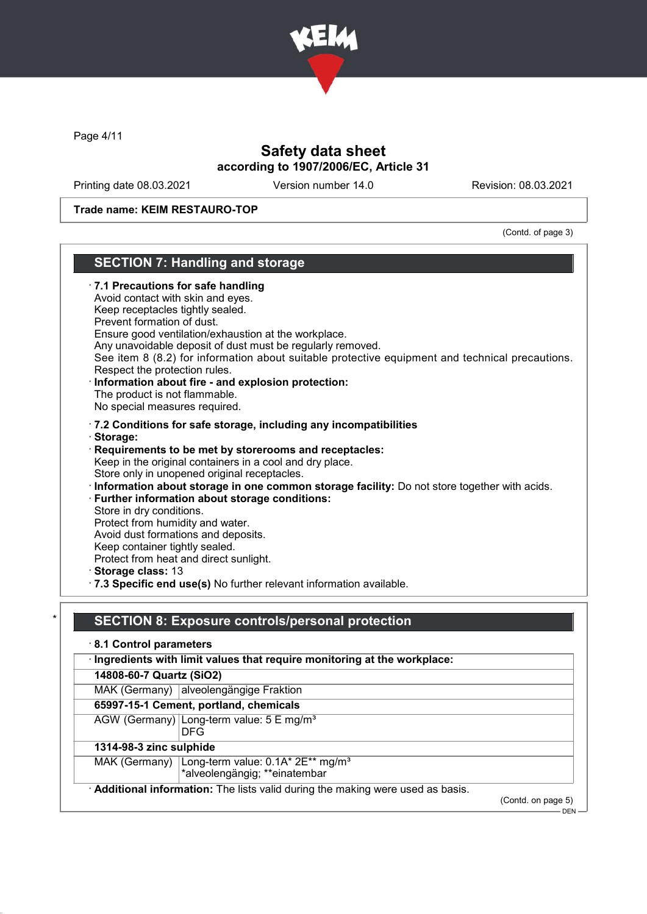

Page 4/11

# Safety data sheet according to 1907/2006/EC, Article 31

Printing date 08.03.2021 Version number 14.0 Revision: 08.03.2021

### Trade name: KEIM RESTAURO-TOP

(Contd. of page 3)

|            | <b>SECTION 7: Handling and storage</b>                                                                                                                                                                                                                                                                                                                                                                                                                                                                                                                                                                                                                                      |
|------------|-----------------------------------------------------------------------------------------------------------------------------------------------------------------------------------------------------------------------------------------------------------------------------------------------------------------------------------------------------------------------------------------------------------------------------------------------------------------------------------------------------------------------------------------------------------------------------------------------------------------------------------------------------------------------------|
|            | 7.1 Precautions for safe handling<br>Avoid contact with skin and eyes.<br>Keep receptacles tightly sealed.<br>Prevent formation of dust.<br>Ensure good ventilation/exhaustion at the workplace.<br>Any unavoidable deposit of dust must be regularly removed.<br>See item 8 (8.2) for information about suitable protective equipment and technical precautions.<br>Respect the protection rules.<br>Information about fire - and explosion protection:<br>The product is not flammable.<br>No special measures required.                                                                                                                                                  |
| · Storage: | · 7.2 Conditions for safe storage, including any incompatibilities<br>Requirements to be met by storerooms and receptacles:<br>Keep in the original containers in a cool and dry place.<br>Store only in unopened original receptacles.<br>· Information about storage in one common storage facility: Do not store together with acids.<br>· Further information about storage conditions:<br>Store in dry conditions.<br>Protect from humidity and water.<br>Avoid dust formations and deposits.<br>Keep container tightly sealed.<br>Protect from heat and direct sunlight.<br>Storage class: 13<br>· 7.3 Specific end use(s) No further relevant information available. |
|            |                                                                                                                                                                                                                                                                                                                                                                                                                                                                                                                                                                                                                                                                             |
|            | <b>SECTION 8: Exposure controls/personal protection</b>                                                                                                                                                                                                                                                                                                                                                                                                                                                                                                                                                                                                                     |
|            | 8.1 Control parameters                                                                                                                                                                                                                                                                                                                                                                                                                                                                                                                                                                                                                                                      |
|            | Ingredients with limit values that require monitoring at the workplace:                                                                                                                                                                                                                                                                                                                                                                                                                                                                                                                                                                                                     |
|            | 14808-60-7 Quartz (SiO2)                                                                                                                                                                                                                                                                                                                                                                                                                                                                                                                                                                                                                                                    |
|            | MAK (Germany) alveolengängige Fraktion                                                                                                                                                                                                                                                                                                                                                                                                                                                                                                                                                                                                                                      |
|            | CEOOZ 45.4 Computer portland phomicals                                                                                                                                                                                                                                                                                                                                                                                                                                                                                                                                                                                                                                      |

### 65997-15-1 Cement, portland, chemicals

AGW (Germany) Long-term value: 5 E mg/m<sup>3</sup> DFG

# 1314-98-3 zinc sulphide

MAK (Germany) <code>|Long-term</code> value: 0.1A\* 2E\*\* mg/m $^{\rm 3}$ \*alveolengängig; \*\*einatembar

Additional information: The lists valid during the making were used as basis.

(Contd. on page 5)

DEN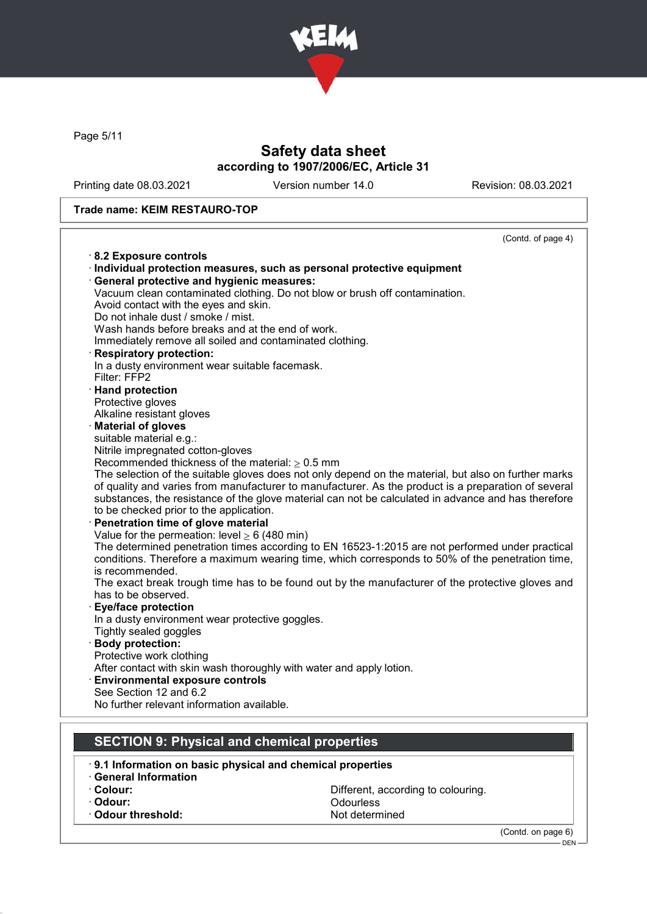

Page 5/11

# Safety data sheet according to 1907/2006/EC, Article 31

Printing date 08.03.2021 Version number 14.0 Revision: 08.03.2021

### Trade name: KEIM RESTAURO-TOP

| 8.2 Exposure controls<br>· Individual protection measures, such as personal protective equipment<br>· General protective and hygienic measures:<br>Vacuum clean contaminated clothing. Do not blow or brush off contamination.<br>Avoid contact with the eyes and skin.<br>Do not inhale dust / smoke / mist.<br>Wash hands before breaks and at the end of work.<br>Immediately remove all soiled and contaminated clothing.<br>· Respiratory protection:<br>In a dusty environment wear suitable facemask.<br>Filter: FFP2<br>· Hand protection<br>Protective gloves<br>Alkaline resistant gloves<br>· Material of gloves<br>suitable material e.g.:<br>Nitrile impregnated cotton-gloves<br>Recommended thickness of the material: $\geq 0.5$ mm<br>The selection of the suitable gloves does not only depend on the material, but also on further marks<br>of quality and varies from manufacturer to manufacturer. As the product is a preparation of several<br>substances, the resistance of the glove material can not be calculated in advance and has therefore<br>to be checked prior to the application.<br>· Penetration time of glove material<br>Value for the permeation: level $\geq 6$ (480 min)<br>The determined penetration times according to EN 16523-1:2015 are not performed under practical<br>conditions. Therefore a maximum wearing time, which corresponds to 50% of the penetration time,<br>is recommended.<br>The exact break trough time has to be found out by the manufacturer of the protective gloves and<br>has to be observed.<br><b>Eye/face protection</b><br>In a dusty environment wear protective goggles.<br>Tightly sealed goggles<br>· Body protection:<br>Protective work clothing<br>After contact with skin wash thoroughly with water and apply lotion.<br><b>Environmental exposure controls</b><br>See Section 12 and 6.2<br>No further relevant information available. | (Contd. of page 4) |
|-------------------------------------------------------------------------------------------------------------------------------------------------------------------------------------------------------------------------------------------------------------------------------------------------------------------------------------------------------------------------------------------------------------------------------------------------------------------------------------------------------------------------------------------------------------------------------------------------------------------------------------------------------------------------------------------------------------------------------------------------------------------------------------------------------------------------------------------------------------------------------------------------------------------------------------------------------------------------------------------------------------------------------------------------------------------------------------------------------------------------------------------------------------------------------------------------------------------------------------------------------------------------------------------------------------------------------------------------------------------------------------------------------------------------------------------------------------------------------------------------------------------------------------------------------------------------------------------------------------------------------------------------------------------------------------------------------------------------------------------------------------------------------------------------------------------------------------------------------------------------------------------------------------------------------|--------------------|
|                                                                                                                                                                                                                                                                                                                                                                                                                                                                                                                                                                                                                                                                                                                                                                                                                                                                                                                                                                                                                                                                                                                                                                                                                                                                                                                                                                                                                                                                                                                                                                                                                                                                                                                                                                                                                                                                                                                               |                    |
|                                                                                                                                                                                                                                                                                                                                                                                                                                                                                                                                                                                                                                                                                                                                                                                                                                                                                                                                                                                                                                                                                                                                                                                                                                                                                                                                                                                                                                                                                                                                                                                                                                                                                                                                                                                                                                                                                                                               |                    |
|                                                                                                                                                                                                                                                                                                                                                                                                                                                                                                                                                                                                                                                                                                                                                                                                                                                                                                                                                                                                                                                                                                                                                                                                                                                                                                                                                                                                                                                                                                                                                                                                                                                                                                                                                                                                                                                                                                                               |                    |
|                                                                                                                                                                                                                                                                                                                                                                                                                                                                                                                                                                                                                                                                                                                                                                                                                                                                                                                                                                                                                                                                                                                                                                                                                                                                                                                                                                                                                                                                                                                                                                                                                                                                                                                                                                                                                                                                                                                               |                    |
|                                                                                                                                                                                                                                                                                                                                                                                                                                                                                                                                                                                                                                                                                                                                                                                                                                                                                                                                                                                                                                                                                                                                                                                                                                                                                                                                                                                                                                                                                                                                                                                                                                                                                                                                                                                                                                                                                                                               |                    |
|                                                                                                                                                                                                                                                                                                                                                                                                                                                                                                                                                                                                                                                                                                                                                                                                                                                                                                                                                                                                                                                                                                                                                                                                                                                                                                                                                                                                                                                                                                                                                                                                                                                                                                                                                                                                                                                                                                                               |                    |
|                                                                                                                                                                                                                                                                                                                                                                                                                                                                                                                                                                                                                                                                                                                                                                                                                                                                                                                                                                                                                                                                                                                                                                                                                                                                                                                                                                                                                                                                                                                                                                                                                                                                                                                                                                                                                                                                                                                               |                    |
|                                                                                                                                                                                                                                                                                                                                                                                                                                                                                                                                                                                                                                                                                                                                                                                                                                                                                                                                                                                                                                                                                                                                                                                                                                                                                                                                                                                                                                                                                                                                                                                                                                                                                                                                                                                                                                                                                                                               |                    |
|                                                                                                                                                                                                                                                                                                                                                                                                                                                                                                                                                                                                                                                                                                                                                                                                                                                                                                                                                                                                                                                                                                                                                                                                                                                                                                                                                                                                                                                                                                                                                                                                                                                                                                                                                                                                                                                                                                                               |                    |
|                                                                                                                                                                                                                                                                                                                                                                                                                                                                                                                                                                                                                                                                                                                                                                                                                                                                                                                                                                                                                                                                                                                                                                                                                                                                                                                                                                                                                                                                                                                                                                                                                                                                                                                                                                                                                                                                                                                               |                    |
|                                                                                                                                                                                                                                                                                                                                                                                                                                                                                                                                                                                                                                                                                                                                                                                                                                                                                                                                                                                                                                                                                                                                                                                                                                                                                                                                                                                                                                                                                                                                                                                                                                                                                                                                                                                                                                                                                                                               |                    |
|                                                                                                                                                                                                                                                                                                                                                                                                                                                                                                                                                                                                                                                                                                                                                                                                                                                                                                                                                                                                                                                                                                                                                                                                                                                                                                                                                                                                                                                                                                                                                                                                                                                                                                                                                                                                                                                                                                                               |                    |
|                                                                                                                                                                                                                                                                                                                                                                                                                                                                                                                                                                                                                                                                                                                                                                                                                                                                                                                                                                                                                                                                                                                                                                                                                                                                                                                                                                                                                                                                                                                                                                                                                                                                                                                                                                                                                                                                                                                               |                    |
|                                                                                                                                                                                                                                                                                                                                                                                                                                                                                                                                                                                                                                                                                                                                                                                                                                                                                                                                                                                                                                                                                                                                                                                                                                                                                                                                                                                                                                                                                                                                                                                                                                                                                                                                                                                                                                                                                                                               |                    |
|                                                                                                                                                                                                                                                                                                                                                                                                                                                                                                                                                                                                                                                                                                                                                                                                                                                                                                                                                                                                                                                                                                                                                                                                                                                                                                                                                                                                                                                                                                                                                                                                                                                                                                                                                                                                                                                                                                                               |                    |
|                                                                                                                                                                                                                                                                                                                                                                                                                                                                                                                                                                                                                                                                                                                                                                                                                                                                                                                                                                                                                                                                                                                                                                                                                                                                                                                                                                                                                                                                                                                                                                                                                                                                                                                                                                                                                                                                                                                               |                    |
|                                                                                                                                                                                                                                                                                                                                                                                                                                                                                                                                                                                                                                                                                                                                                                                                                                                                                                                                                                                                                                                                                                                                                                                                                                                                                                                                                                                                                                                                                                                                                                                                                                                                                                                                                                                                                                                                                                                               |                    |
|                                                                                                                                                                                                                                                                                                                                                                                                                                                                                                                                                                                                                                                                                                                                                                                                                                                                                                                                                                                                                                                                                                                                                                                                                                                                                                                                                                                                                                                                                                                                                                                                                                                                                                                                                                                                                                                                                                                               |                    |
|                                                                                                                                                                                                                                                                                                                                                                                                                                                                                                                                                                                                                                                                                                                                                                                                                                                                                                                                                                                                                                                                                                                                                                                                                                                                                                                                                                                                                                                                                                                                                                                                                                                                                                                                                                                                                                                                                                                               |                    |
|                                                                                                                                                                                                                                                                                                                                                                                                                                                                                                                                                                                                                                                                                                                                                                                                                                                                                                                                                                                                                                                                                                                                                                                                                                                                                                                                                                                                                                                                                                                                                                                                                                                                                                                                                                                                                                                                                                                               |                    |
|                                                                                                                                                                                                                                                                                                                                                                                                                                                                                                                                                                                                                                                                                                                                                                                                                                                                                                                                                                                                                                                                                                                                                                                                                                                                                                                                                                                                                                                                                                                                                                                                                                                                                                                                                                                                                                                                                                                               |                    |
|                                                                                                                                                                                                                                                                                                                                                                                                                                                                                                                                                                                                                                                                                                                                                                                                                                                                                                                                                                                                                                                                                                                                                                                                                                                                                                                                                                                                                                                                                                                                                                                                                                                                                                                                                                                                                                                                                                                               |                    |
|                                                                                                                                                                                                                                                                                                                                                                                                                                                                                                                                                                                                                                                                                                                                                                                                                                                                                                                                                                                                                                                                                                                                                                                                                                                                                                                                                                                                                                                                                                                                                                                                                                                                                                                                                                                                                                                                                                                               |                    |
|                                                                                                                                                                                                                                                                                                                                                                                                                                                                                                                                                                                                                                                                                                                                                                                                                                                                                                                                                                                                                                                                                                                                                                                                                                                                                                                                                                                                                                                                                                                                                                                                                                                                                                                                                                                                                                                                                                                               |                    |
|                                                                                                                                                                                                                                                                                                                                                                                                                                                                                                                                                                                                                                                                                                                                                                                                                                                                                                                                                                                                                                                                                                                                                                                                                                                                                                                                                                                                                                                                                                                                                                                                                                                                                                                                                                                                                                                                                                                               |                    |
|                                                                                                                                                                                                                                                                                                                                                                                                                                                                                                                                                                                                                                                                                                                                                                                                                                                                                                                                                                                                                                                                                                                                                                                                                                                                                                                                                                                                                                                                                                                                                                                                                                                                                                                                                                                                                                                                                                                               |                    |
|                                                                                                                                                                                                                                                                                                                                                                                                                                                                                                                                                                                                                                                                                                                                                                                                                                                                                                                                                                                                                                                                                                                                                                                                                                                                                                                                                                                                                                                                                                                                                                                                                                                                                                                                                                                                                                                                                                                               |                    |
|                                                                                                                                                                                                                                                                                                                                                                                                                                                                                                                                                                                                                                                                                                                                                                                                                                                                                                                                                                                                                                                                                                                                                                                                                                                                                                                                                                                                                                                                                                                                                                                                                                                                                                                                                                                                                                                                                                                               |                    |
|                                                                                                                                                                                                                                                                                                                                                                                                                                                                                                                                                                                                                                                                                                                                                                                                                                                                                                                                                                                                                                                                                                                                                                                                                                                                                                                                                                                                                                                                                                                                                                                                                                                                                                                                                                                                                                                                                                                               |                    |
|                                                                                                                                                                                                                                                                                                                                                                                                                                                                                                                                                                                                                                                                                                                                                                                                                                                                                                                                                                                                                                                                                                                                                                                                                                                                                                                                                                                                                                                                                                                                                                                                                                                                                                                                                                                                                                                                                                                               |                    |
|                                                                                                                                                                                                                                                                                                                                                                                                                                                                                                                                                                                                                                                                                                                                                                                                                                                                                                                                                                                                                                                                                                                                                                                                                                                                                                                                                                                                                                                                                                                                                                                                                                                                                                                                                                                                                                                                                                                               |                    |
|                                                                                                                                                                                                                                                                                                                                                                                                                                                                                                                                                                                                                                                                                                                                                                                                                                                                                                                                                                                                                                                                                                                                                                                                                                                                                                                                                                                                                                                                                                                                                                                                                                                                                                                                                                                                                                                                                                                               |                    |
|                                                                                                                                                                                                                                                                                                                                                                                                                                                                                                                                                                                                                                                                                                                                                                                                                                                                                                                                                                                                                                                                                                                                                                                                                                                                                                                                                                                                                                                                                                                                                                                                                                                                                                                                                                                                                                                                                                                               |                    |
|                                                                                                                                                                                                                                                                                                                                                                                                                                                                                                                                                                                                                                                                                                                                                                                                                                                                                                                                                                                                                                                                                                                                                                                                                                                                                                                                                                                                                                                                                                                                                                                                                                                                                                                                                                                                                                                                                                                               |                    |
|                                                                                                                                                                                                                                                                                                                                                                                                                                                                                                                                                                                                                                                                                                                                                                                                                                                                                                                                                                                                                                                                                                                                                                                                                                                                                                                                                                                                                                                                                                                                                                                                                                                                                                                                                                                                                                                                                                                               |                    |
|                                                                                                                                                                                                                                                                                                                                                                                                                                                                                                                                                                                                                                                                                                                                                                                                                                                                                                                                                                                                                                                                                                                                                                                                                                                                                                                                                                                                                                                                                                                                                                                                                                                                                                                                                                                                                                                                                                                               |                    |
|                                                                                                                                                                                                                                                                                                                                                                                                                                                                                                                                                                                                                                                                                                                                                                                                                                                                                                                                                                                                                                                                                                                                                                                                                                                                                                                                                                                                                                                                                                                                                                                                                                                                                                                                                                                                                                                                                                                               |                    |
|                                                                                                                                                                                                                                                                                                                                                                                                                                                                                                                                                                                                                                                                                                                                                                                                                                                                                                                                                                                                                                                                                                                                                                                                                                                                                                                                                                                                                                                                                                                                                                                                                                                                                                                                                                                                                                                                                                                               |                    |
| <b>SECTION 9: Physical and chemical properties</b>                                                                                                                                                                                                                                                                                                                                                                                                                                                                                                                                                                                                                                                                                                                                                                                                                                                                                                                                                                                                                                                                                                                                                                                                                                                                                                                                                                                                                                                                                                                                                                                                                                                                                                                                                                                                                                                                            |                    |

- · 9.1 Information on basic physical and chemical properties
- · General Information
- 
- 

 $\cdot$  Odour threshold:

· Colour: Colour: Colouring.<br>
Colour: Colouring.<br>
Odourless Odourless<br>Not determined

(Contd. on page 6)

DEN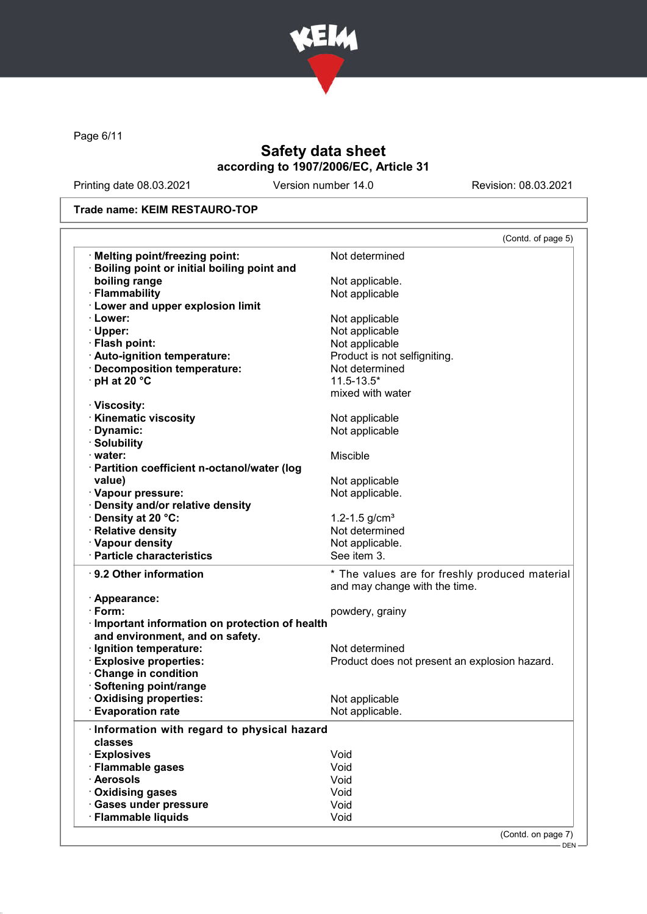

Page 6/11

# Safety data sheet according to 1907/2006/EC, Article 31

Printing date 08.03.2021 Version number 14.0 Revision: 08.03.2021

### Trade name: KEIM RESTAURO-TOP

|                                                                                                                                                                                       | (Contd. of page 5)                             |
|---------------------------------------------------------------------------------------------------------------------------------------------------------------------------------------|------------------------------------------------|
| · Melting point/freezing point:                                                                                                                                                       | Not determined                                 |
| <b>Boiling point or initial boiling point and</b>                                                                                                                                     |                                                |
| boiling range                                                                                                                                                                         | Not applicable.                                |
| · Flammability                                                                                                                                                                        | Not applicable                                 |
| <b>Lower and upper explosion limit</b>                                                                                                                                                |                                                |
| · Lower:                                                                                                                                                                              | Not applicable                                 |
| · Upper:                                                                                                                                                                              | Not applicable                                 |
| · Flash point:                                                                                                                                                                        | Not applicable                                 |
| · Auto-ignition temperature:                                                                                                                                                          | Product is not selfigniting.                   |
| · Decomposition temperature:                                                                                                                                                          | Not determined                                 |
| $\cdot$ pH at 20 $\degree$ C                                                                                                                                                          | $11.5 - 13.5*$                                 |
|                                                                                                                                                                                       | mixed with water                               |
| · Viscosity:                                                                                                                                                                          |                                                |
| <b>Kinematic viscosity</b>                                                                                                                                                            | Not applicable                                 |
| · Dynamic:                                                                                                                                                                            | Not applicable                                 |
| · Solubility                                                                                                                                                                          |                                                |
| · water:                                                                                                                                                                              | <b>Miscible</b>                                |
| · Partition coefficient n-octanol/water (log                                                                                                                                          |                                                |
| value)                                                                                                                                                                                |                                                |
|                                                                                                                                                                                       | Not applicable                                 |
| · Vapour pressure:                                                                                                                                                                    | Not applicable.                                |
| · Density and/or relative density                                                                                                                                                     |                                                |
| · Density at 20 °C:                                                                                                                                                                   | 1.2-1.5 $g/cm3$                                |
| · Relative density                                                                                                                                                                    | Not determined                                 |
| · Vapour density                                                                                                                                                                      | Not applicable.                                |
| · Particle characteristics                                                                                                                                                            | See item 3.                                    |
| 9.2 Other information                                                                                                                                                                 | * The values are for freshly produced material |
|                                                                                                                                                                                       | and may change with the time.                  |
| · Appearance:                                                                                                                                                                         |                                                |
| $\cdot$ Form:                                                                                                                                                                         | powdery, grainy                                |
| Important information on protection of health                                                                                                                                         |                                                |
| and environment, and on safety.                                                                                                                                                       |                                                |
| · Ignition temperature:                                                                                                                                                               |                                                |
|                                                                                                                                                                                       | Not determined                                 |
|                                                                                                                                                                                       |                                                |
|                                                                                                                                                                                       | Product does not present an explosion hazard.  |
|                                                                                                                                                                                       |                                                |
|                                                                                                                                                                                       |                                                |
|                                                                                                                                                                                       | Not applicable                                 |
|                                                                                                                                                                                       | Not applicable.                                |
| <b>Explosive properties:</b><br>Change in condition<br>Softening point/range<br><b>Oxidising properties:</b><br><b>Evaporation rate</b><br>Information with regard to physical hazard |                                                |
| classes                                                                                                                                                                               |                                                |
| · Explosives                                                                                                                                                                          | Void                                           |
|                                                                                                                                                                                       | Void                                           |
| · Flammable gases<br>· Aerosols                                                                                                                                                       | Void                                           |
| Oxidising gases                                                                                                                                                                       | Void                                           |
| · Gases under pressure                                                                                                                                                                | Void                                           |

(Contd. on page 7)

DEN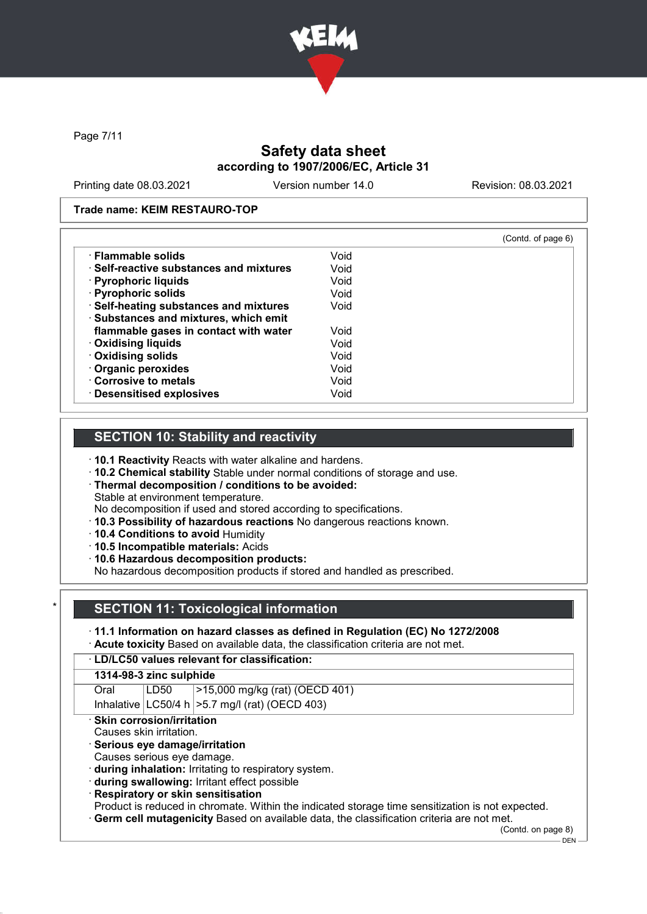

Page 7/11

# Safety data sheet according to 1907/2006/EC, Article 31

Printing date 08.03.2021 Version number 14.0 Revision: 08.03.2021

### Trade name: KEIM RESTAURO-TOP

|                                         |      | (Contd. of page 6) |
|-----------------------------------------|------|--------------------|
| · Flammable solids                      | Void |                    |
| ⋅ Self-reactive substances and mixtures | Void |                    |
| · Pyrophoric liquids                    | Void |                    |
| · Pyrophoric solids                     | Void |                    |
| · Self-heating substances and mixtures  | Void |                    |
| · Substances and mixtures, which emit   |      |                    |
| flammable gases in contact with water   | Void |                    |
| · Oxidising liquids                     | Void |                    |
| · Oxidising solids                      | Void |                    |
| · Organic peroxides                     | Void |                    |
| Corrosive to metals                     | Void |                    |
| · Desensitised explosives               | Void |                    |

### SECTION 10: Stability and reactivity

- · 10.1 Reactivity Reacts with water alkaline and hardens.
- · 10.2 Chemical stability Stable under normal conditions of storage and use.
- · Thermal decomposition / conditions to be avoided:
- Stable at environment temperature.
- No decomposition if used and stored according to specifications.
- · 10.3 Possibility of hazardous reactions No dangerous reactions known.
- · 10.4 Conditions to avoid Humidity
- · 10.5 Incompatible materials: Acids
- · 10.6 Hazardous decomposition products:

No hazardous decomposition products if stored and handled as prescribed.

# **SECTION 11: Toxicological information**

- · 11.1 Information on hazard classes as defined in Regulation (EC) No 1272/2008
- · Acute toxicity Based on available data, the classification criteria are not met.

# · LD/LC50 values relevant for classification:

| $ >15,000$ mg/kg (rat) (OECD 401)<br>LD50<br>Oral |  |
|---------------------------------------------------|--|
|---------------------------------------------------|--|

Inhalative  $|$  LC50/4 h  $|$ >5.7 mg/l (rat) (OECD 403)

· Skin corrosion/irritation

### Causes skin irritation.

- · Serious eye damage/irritation
- Causes serious eye damage.
- · during inhalation: Irritating to respiratory system.
- · during swallowing: Irritant effect possible
- · Respiratory or skin sensitisation

Product is reduced in chromate. Within the indicated storage time sensitization is not expected. · Germ cell mutagenicity Based on available data, the classification criteria are not met.

(Contd. on page 8)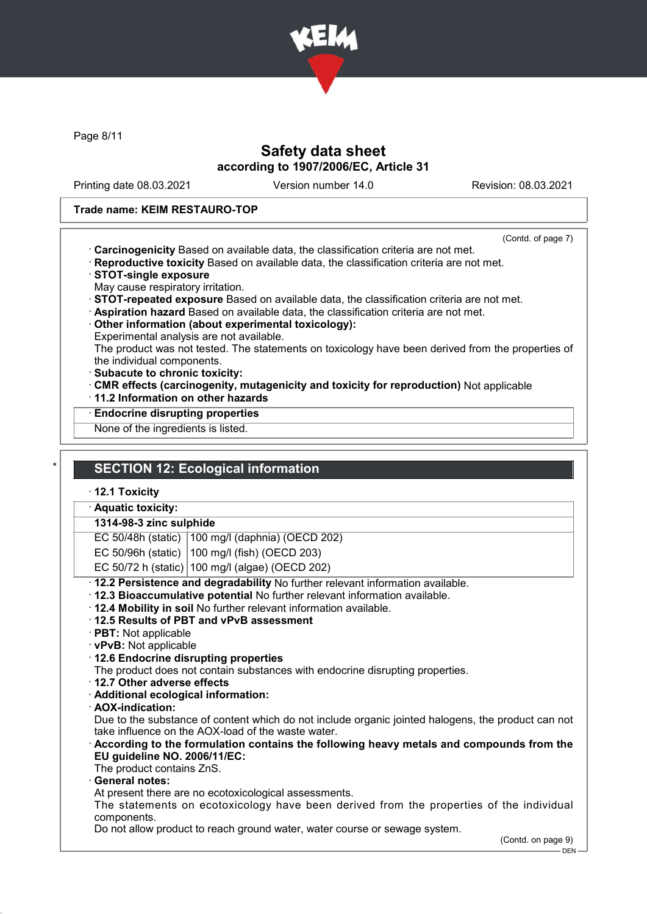

Page 8/11

### Safety data sheet according to 1907/2006/EC, Article 31

Printing date 08.03.2021 Version number 14.0 Revision: 08.03.2021

### Trade name: KEIM RESTAURO-TOP

(Contd. of page 7)

- · Carcinogenicity Based on available data, the classification criteria are not met.
- · Reproductive toxicity Based on available data, the classification criteria are not met.
- · STOT-single exposure
- May cause respiratory irritation.
- · STOT-repeated exposure Based on available data, the classification criteria are not met.
- · Aspiration hazard Based on available data, the classification criteria are not met.
- · Other information (about experimental toxicology):
- Experimental analysis are not available.

The product was not tested. The statements on toxicology have been derived from the properties of the individual components.

- · Subacute to chronic toxicity:
- · CMR effects (carcinogenity, mutagenicity and toxicity for reproduction) Not applicable
- · 11.2 Information on other hazards
- · Endocrine disrupting properties

None of the ingredients is listed.

# **SECTION 12: Ecological information**

### · 12.1 Toxicity

· Aquatic toxicity:

#### 1314-98-3 zinc sulphide

EC 50/48h (static) 100 mg/l (daphnia) (OECD 202)

EC 50/96h (static) 100 mg/l (fish) (OECD 203)

EC 50/72 h (static) 100 mg/l (algae) (OECD 202)

· 12.2 Persistence and degradability No further relevant information available.

- · 12.3 Bioaccumulative potential No further relevant information available.
- · 12.4 Mobility in soil No further relevant information available.
- · 12.5 Results of PBT and vPvB assessment
- · PBT: Not applicable
- · vPvB: Not applicable
- · 12.6 Endocrine disrupting properties

The product does not contain substances with endocrine disrupting properties.

- · 12.7 Other adverse effects
- · Additional ecological information:
- · AOX-indication:

Due to the substance of content which do not include organic jointed halogens, the product can not take influence on the AOX-load of the waste water.

### · According to the formulation contains the following heavy metals and compounds from the EU guideline NO. 2006/11/EC:

The product contains ZnS.

### General notes:

At present there are no ecotoxicological assessments.

The statements on ecotoxicology have been derived from the properties of the individual components.

Do not allow product to reach ground water, water course or sewage system.

<sup>(</sup>Contd. on page 9)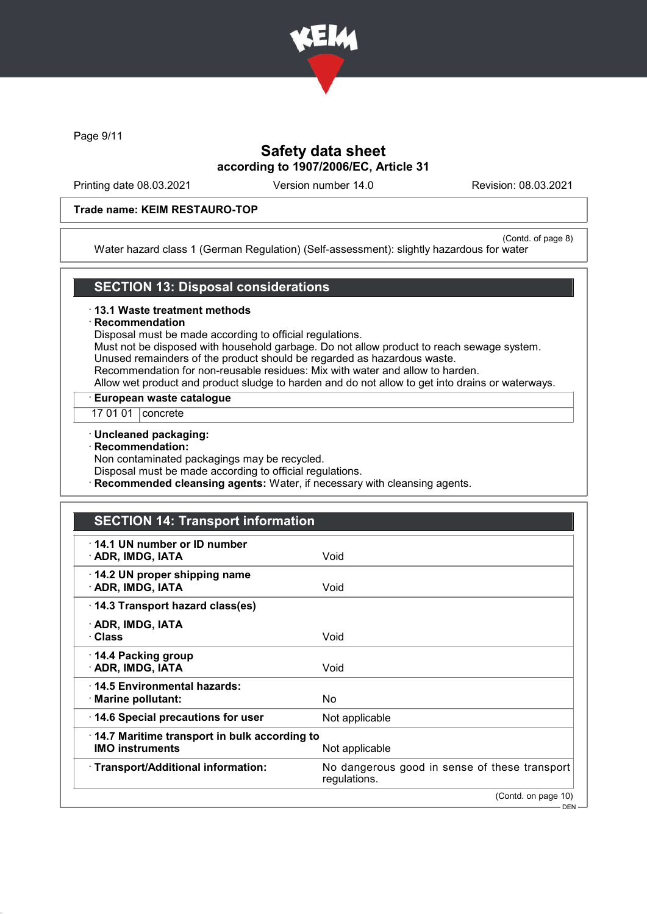

Page 9/11

# Safety data sheet according to 1907/2006/EC, Article 31

Printing date 08.03.2021 Version number 14.0 Revision: 08.03.2021

### Trade name: KEIM RESTAURO-TOP

(Contd. of page 8) Water hazard class 1 (German Regulation) (Self-assessment): slightly hazardous for water

### SECTION 13: Disposal considerations

#### · 13.1 Waste treatment methods

#### **Recommendation**

Disposal must be made according to official regulations.

Must not be disposed with household garbage. Do not allow product to reach sewage system. Unused remainders of the product should be regarded as hazardous waste.

Recommendation for non-reusable residues: Mix with water and allow to harden.

Allow wet product and product sludge to harden and do not allow to get into drains or waterways.

· European waste catalogue

17 01 01 | concrete

#### · Uncleaned packaging:

#### · Recommendation:

Non contaminated packagings may be recycled.

Disposal must be made according to official regulations.

**Recommended cleansing agents:** Water, if necessary with cleansing agents.

# SECTION 14: Transport information

| 14.1 UN number or ID number<br>· ADR, IMDG, IATA                       | Void                                                          |
|------------------------------------------------------------------------|---------------------------------------------------------------|
| 14.2 UN proper shipping name<br>· ADR, IMDG, IATA                      | Void                                                          |
| 14.3 Transport hazard class(es)                                        |                                                               |
| · ADR, IMDG, IATA<br>· Class                                           | Void                                                          |
| ⋅ 14.4 Packing group<br>· ADR, IMDG, IATA                              | Void                                                          |
| ⋅14.5 Environmental hazards:<br>$\cdot$ Marine pollutant:              | No.                                                           |
| 14.6 Special precautions for user                                      | Not applicable                                                |
| 14.7 Maritime transport in bulk according to<br><b>IMO instruments</b> | Not applicable                                                |
| · Transport/Additional information:                                    | No dangerous good in sense of these transport<br>regulations. |
|                                                                        | (Contd. on page 10)                                           |
|                                                                        | $DEN -$                                                       |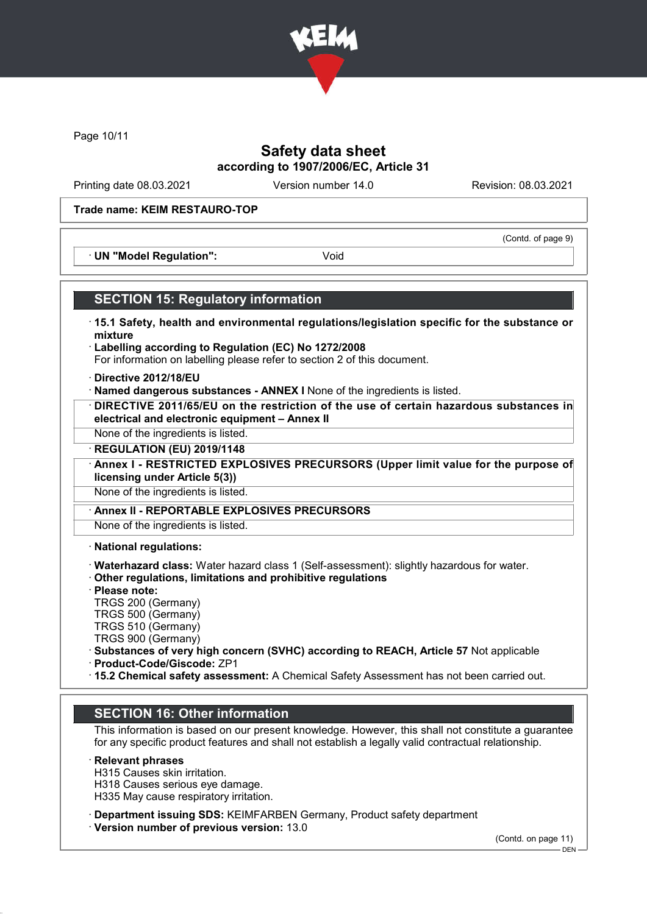

Page 10/11

### Safety data sheet according to 1907/2006/EC, Article 31

Printing date 08.03.2021 Version number 14.0 Revision: 08.03.2021

(Contd. of page 9)

### Trade name: KEIM RESTAURO-TOP

· UN "Model Regulation": Void

### SECTION 15: Regulatory information

- · 15.1 Safety, health and environmental regulations/legislation specific for the substance or mixture
- · Labelling according to Regulation (EC) No 1272/2008 For information on labelling please refer to section 2 of this document.
- · Directive 2012/18/EU
- · Named dangerous substances ANNEX I None of the ingredients is listed.
- · DIRECTIVE 2011/65/EU on the restriction of the use of certain hazardous substances in electrical and electronic equipment – Annex II
- None of the ingredients is listed.
- · REGULATION (EU) 2019/1148
- Annex I RESTRICTED EXPLOSIVES PRECURSORS (Upper limit value for the purpose of licensing under Article 5(3))

None of the ingredients is listed.

Annex II - REPORTABLE EXPLOSIVES PRECURSORS

None of the ingredients is listed.

· National regulations:

- · Waterhazard class: Water hazard class 1 (Self-assessment): slightly hazardous for water.
- · Other regulations, limitations and prohibitive regulations
- · Please note:
- TRGS 200 (Germany)
- TRGS 500 (Germany)
- TRGS 510 (Germany) TRGS 900 (Germany)
- 
- · Substances of very high concern (SVHC) according to REACH, Article 57 Not applicable · Product-Code/Giscode: ZP1
- 
- · 15.2 Chemical safety assessment: A Chemical Safety Assessment has not been carried out.

### SECTION 16: Other information

This information is based on our present knowledge. However, this shall not constitute a guarantee for any specific product features and shall not establish a legally valid contractual relationship.

### **Relevant phrases**

H315 Causes skin irritation. H318 Causes serious eye damage. H335 May cause respiratory irritation.

· Department issuing SDS: KEIMFARBEN Germany, Product safety department

· Version number of previous version: 13.0

(Contd. on page 11)

DEN